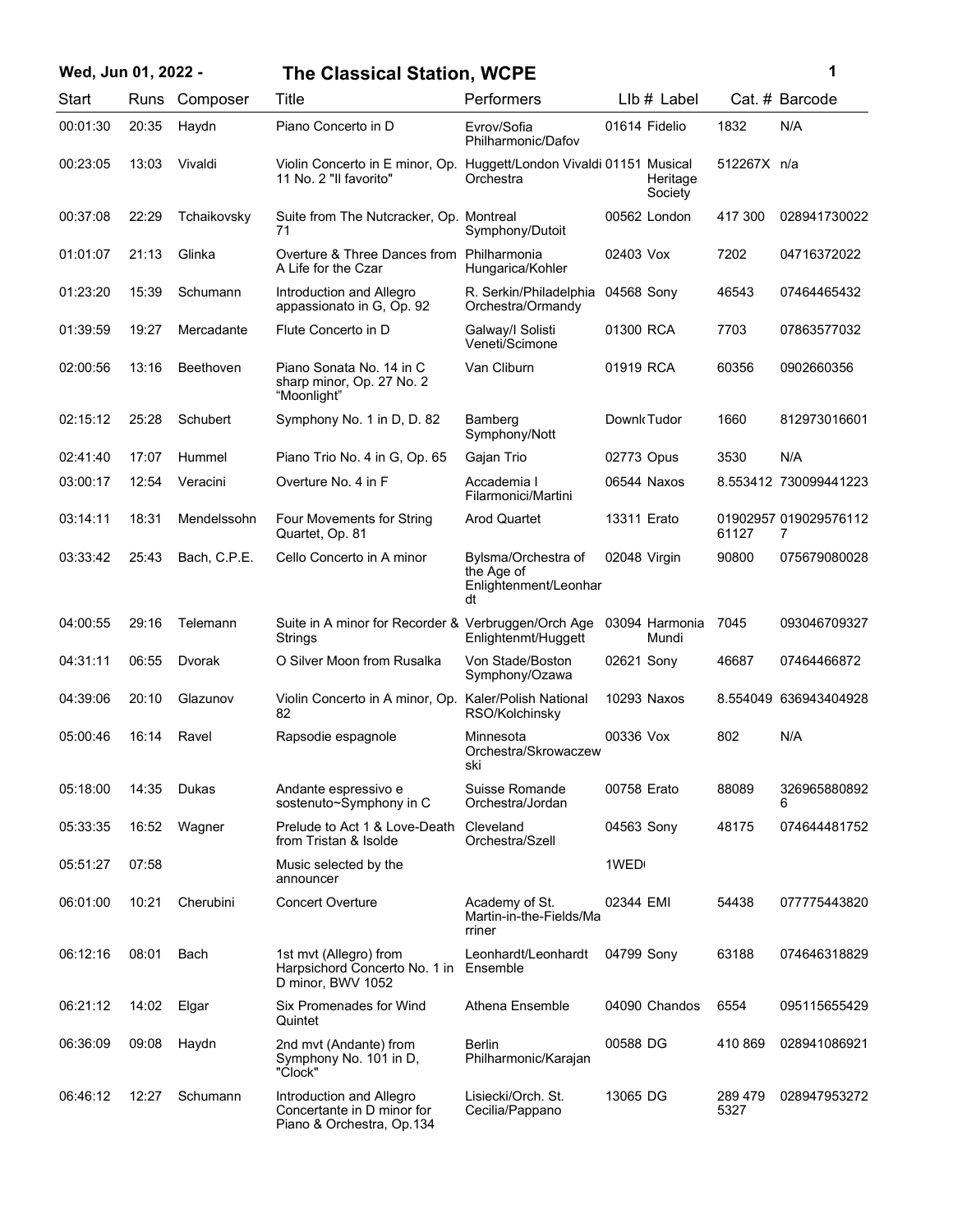| Wed, Jun 01, 2022 - |       |               | <b>The Classical Station, WCPE</b>                                                             |                                                                  | 1                       |                 |                            |
|---------------------|-------|---------------|------------------------------------------------------------------------------------------------|------------------------------------------------------------------|-------------------------|-----------------|----------------------------|
| Start               |       | Runs Composer | Title                                                                                          | Performers                                                       | LIb # Label             |                 | Cat. # Barcode             |
| 00:01:30            | 20:35 | Haydn         | Piano Concerto in D                                                                            | Evrov/Sofia<br>Philharmonic/Dafov                                | 01614 Fidelio           | 1832            | N/A                        |
| 00:23:05            | 13:03 | Vivaldi       | Violin Concerto in E minor, Op. Huggett/London Vivaldi 01151 Musical<br>11 No. 2 "Il favorito" | Orchestra                                                        | Heritage<br>Society     | 512267X n/a     |                            |
| 00:37:08            | 22:29 | Tchaikovsky   | Suite from The Nutcracker, Op. Montreal<br>71                                                  | Symphony/Dutoit                                                  | 00562 London            | 417 300         | 028941730022               |
| 01:01:07            | 21:13 | Glinka        | Overture & Three Dances from Philharmonia<br>A Life for the Czar                               | Hungarica/Kohler                                                 | 02403 Vox               | 7202            | 04716372022                |
| 01:23:20            | 15:39 | Schumann      | Introduction and Allegro<br>appassionato in G, Op. 92                                          | R. Serkin/Philadelphia<br>Orchestra/Ormandy                      | 04568 Sony              | 46543           | 07464465432                |
| 01:39:59            | 19:27 | Mercadante    | Flute Concerto in D                                                                            | Galway/I Solisti<br>Veneti/Scimone                               | 01300 RCA               | 7703            | 07863577032                |
| 02:00:56            | 13:16 | Beethoven     | Piano Sonata No. 14 in C<br>sharp minor, Op. 27 No. 2<br>"Moonlight"                           | Van Cliburn                                                      | 01919 RCA               | 60356           | 0902660356                 |
| 02:15:12            | 25:28 | Schubert      | Symphony No. 1 in D, D. 82                                                                     | Bamberg<br>Symphony/Nott                                         | Downk Tudor             | 1660            | 812973016601               |
| 02:41:40            | 17:07 | Hummel        | Piano Trio No. 4 in G, Op. 65                                                                  | Gajan Trio                                                       | 02773 Opus              | 3530            | N/A                        |
| 03:00:17            | 12:54 | Veracini      | Overture No. 4 in F                                                                            | Accademia I<br>Filarmonici/Martini                               | 06544 Naxos             |                 | 8.553412 730099441223      |
| 03:14:11            | 18:31 | Mendelssohn   | Four Movements for String<br>Quartet, Op. 81                                                   | Arod Quartet                                                     | 13311 Erato             | 61127           | 01902957 019029576112<br>7 |
| 03:33:42            | 25:43 | Bach, C.P.E.  | Cello Concerto in A minor                                                                      | Bylsma/Orchestra of<br>the Age of<br>Enlightenment/Leonhar<br>dt | 02048 Virgin            | 90800           | 075679080028               |
| 04:00:55            | 29:16 | Telemann      | Suite in A minor for Recorder & Verbruggen/Orch Age<br>Strings                                 | Enlightenmt/Huggett                                              | 03094 Harmonia<br>Mundi | 7045            | 093046709327               |
| 04:31:11            | 06:55 | Dvorak        | O Silver Moon from Rusalka                                                                     | Von Stade/Boston<br>Symphony/Ozawa                               | 02621 Sony              | 46687           | 07464466872                |
| 04:39:06            | 20:10 | Glazunov      | Violin Concerto in A minor, Op. Kaler/Polish National<br>82                                    | RSO/Kolchinsky                                                   | 10293 Naxos             |                 | 8.554049 636943404928      |
| 05:00:46            | 16:14 | Ravel         | Rapsodie espagnole                                                                             | Minnesota<br>Orchestra/Skrowaczew<br>SKI                         | 00336 Vox               | 802             | N/A                        |
| 05:18:00            | 14:35 | Dukas         | Andante espressivo e<br>sostenuto~Symphony in C                                                | Suisse Romande<br>Orchestra/Jordan                               | 00758 Erato             | 88089           | 326965880892<br>6          |
| 05:33:35            | 16:52 | Wagner        | Prelude to Act 1 & Love-Death<br>from Tristan & Isolde                                         | Cleveland<br>Orchestra/Szell                                     | 04563 Sony              | 48175           | 074644481752               |
| 05:51:27            | 07:58 |               | Music selected by the<br>announcer                                                             |                                                                  | 1WED                    |                 |                            |
| 06:01:00            | 10:21 | Cherubini     | <b>Concert Overture</b>                                                                        | Academy of St.<br>Martin-in-the-Fields/Ma<br>rriner              | 02344 EMI               | 54438           | 077775443820               |
| 06:12:16            | 08:01 | Bach          | 1st mvt (Allegro) from<br>Harpsichord Concerto No. 1 in<br>D minor, BWV 1052                   | Leonhardt/Leonhardt<br>Ensemble                                  | 04799 Sony              | 63188           | 074646318829               |
| 06:21:12            | 14:02 | Elgar         | Six Promenades for Wind<br>Quintet                                                             | Athena Ensemble                                                  | 04090 Chandos           | 6554            | 095115655429               |
| 06:36:09            | 09:08 | Haydn         | 2nd mvt (Andante) from<br>Symphony No. 101 in D,<br>"Clock"                                    | Berlin<br>Philharmonic/Karajan                                   | 00588 DG                | 410 869         | 028941086921               |
| 06:46:12            | 12:27 | Schumann      | Introduction and Allegro<br>Concertante in D minor for<br>Piano & Orchestra, Op.134            | Lisiecki/Orch. St.<br>Cecilia/Pappano                            | 13065 DG                | 289 479<br>5327 | 028947953272               |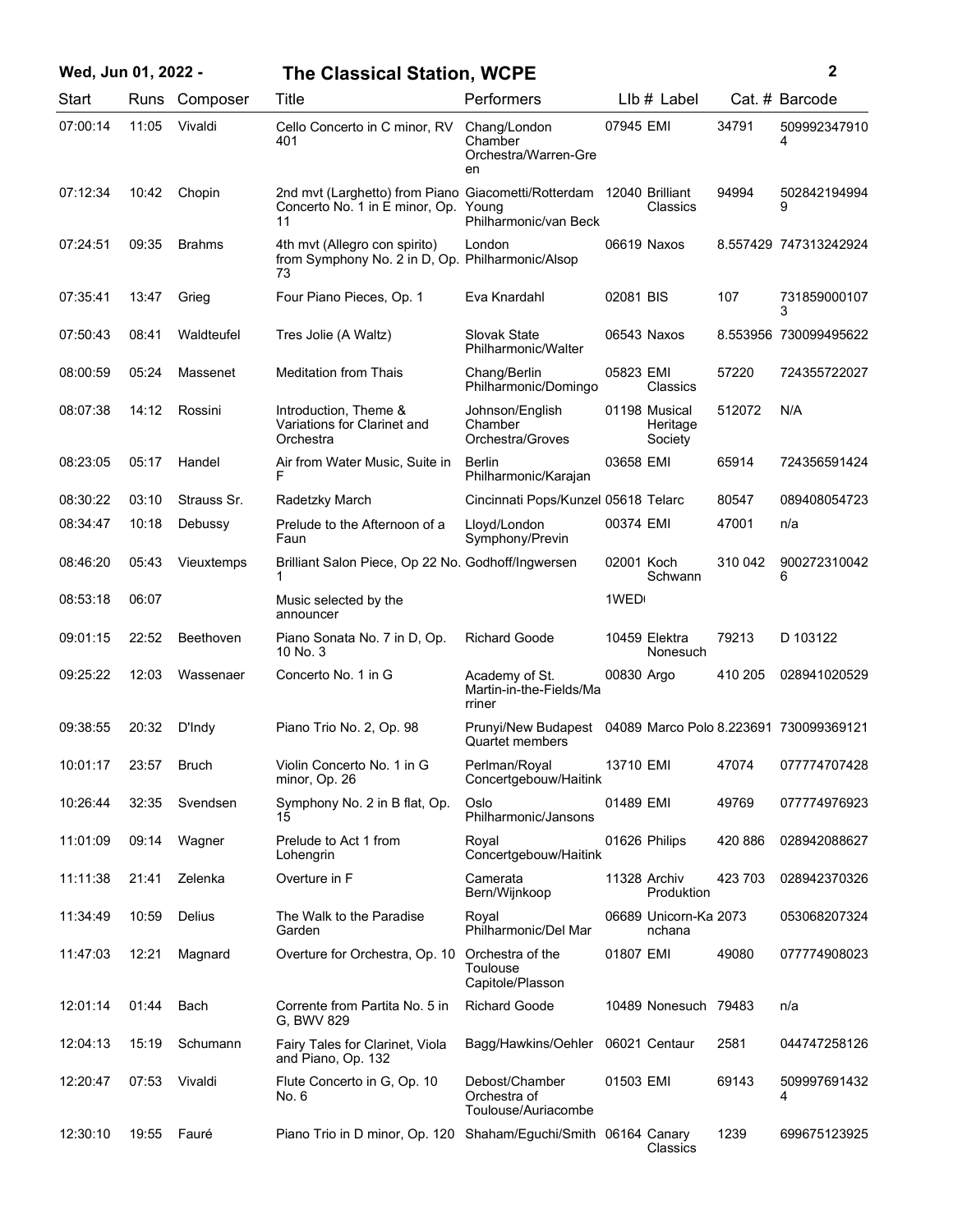| Wed, Jun 01, 2022 - |       |               | <b>The Classical Station, WCPE</b>                                                                                |                                                                                      |            |                                      |         | 2                     |
|---------------------|-------|---------------|-------------------------------------------------------------------------------------------------------------------|--------------------------------------------------------------------------------------|------------|--------------------------------------|---------|-----------------------|
| Start               |       | Runs Composer | Title                                                                                                             | Performers                                                                           |            | $Llb#$ Label                         |         | Cat. # Barcode        |
| 07:00:14            | 11:05 | Vivaldi       | Cello Concerto in C minor, RV<br>401                                                                              | Chang/London<br>Chamber<br>Orchestra/Warren-Gre<br>en                                | 07945 EMI  |                                      | 34791   | 509992347910<br>4     |
| 07:12:34            | 10:42 | Chopin        | 2nd mvt (Larghetto) from Piano Giacometti/Rotterdam 12040 Brilliant<br>Concerto No. 1 in E minor, Op. Young<br>11 | Philharmonic/van Beck                                                                |            | Classics                             | 94994   | 502842194994<br>9     |
| 07:24:51            | 09:35 | <b>Brahms</b> | 4th mvt (Allegro con spirito)<br>from Symphony No. 2 in D, Op. Philharmonic/Alsop<br>73                           | London                                                                               |            | 06619 Naxos                          |         | 8.557429 747313242924 |
| 07:35:41            | 13:47 | Grieg         | Four Piano Pieces, Op. 1                                                                                          | Eva Knardahl                                                                         | 02081 BIS  |                                      | 107     | 731859000107<br>3     |
| 07:50:43            | 08:41 | Waldteufel    | Tres Jolie (A Waltz)                                                                                              | Slovak State<br>Philharmonic/Walter                                                  |            | 06543 Naxos                          |         | 8.553956 730099495622 |
| 08:00:59            | 05:24 | Massenet      | <b>Meditation from Thais</b>                                                                                      | Chang/Berlin<br>Philharmonic/Domingo                                                 | 05823 EMI  | Classics                             | 57220   | 724355722027          |
| 08:07:38            | 14:12 | Rossini       | Introduction, Theme &<br>Variations for Clarinet and<br>Orchestra                                                 | Johnson/English<br>Chamber<br>Orchestra/Groves                                       |            | 01198 Musical<br>Heritage<br>Society | 512072  | N/A                   |
| 08:23:05            | 05:17 | Handel        | Air from Water Music, Suite in<br>F                                                                               | Berlin<br>Philharmonic/Karajan                                                       | 03658 EMI  |                                      | 65914   | 724356591424          |
| 08:30:22            | 03:10 | Strauss Sr.   | Radetzky March                                                                                                    | Cincinnati Pops/Kunzel 05618 Telarc                                                  |            |                                      | 80547   | 089408054723          |
| 08:34:47            | 10:18 | Debussy       | Prelude to the Afternoon of a<br>Faun                                                                             | Lloyd/London<br>Symphony/Previn                                                      | 00374 EMI  |                                      | 47001   | n/a                   |
| 08:46:20            | 05:43 | Vieuxtemps    | Brilliant Salon Piece, Op 22 No. Godhoff/Ingwersen                                                                |                                                                                      | 02001 Koch | Schwann                              | 310 042 | 900272310042<br>6     |
| 08:53:18            | 06:07 |               | Music selected by the<br>announcer                                                                                |                                                                                      | 1WED       |                                      |         |                       |
| 09:01:15            | 22:52 | Beethoven     | Piano Sonata No. 7 in D, Op.<br>10 No. 3                                                                          | <b>Richard Goode</b>                                                                 |            | 10459 Elektra<br>Nonesuch            | 79213   | D 103122              |
| 09:25:22            | 12:03 | Wassenaer     | Concerto No. 1 in G                                                                                               | Academy of St.<br>Martin-in-the-Fields/Ma<br>rriner                                  | 00830 Argo |                                      | 410 205 | 028941020529          |
| 09:38:55            | 20:32 | D'Indy        | Piano Trio No. 2, Op. 98                                                                                          | Prunyi/New Budapest 04089 Marco Polo 8.223691 730099369121<br><b>Quartet members</b> |            |                                      |         |                       |
| 10:01:17            | 23:57 | <b>Bruch</b>  | Violin Concerto No. 1 in G<br>minor, Op. 26                                                                       | Perlman/Royal<br>Concertgebouw/Haitink                                               | 13710 EMI  |                                      | 47074   | 077774707428          |
| 10:26:44            | 32:35 | Svendsen      | Symphony No. 2 in B flat, Op.<br>15                                                                               | Oslo<br>Philharmonic/Jansons                                                         | 01489 EMI  |                                      | 49769   | 077774976923          |
| 11:01:09            | 09:14 | Wagner        | Prelude to Act 1 from<br>Lohengrin                                                                                | Royal<br>Concertgebouw/Haitink                                                       |            | 01626 Philips                        | 420 886 | 028942088627          |
| 11:11:38            | 21:41 | Zelenka       | Overture in F                                                                                                     | Camerata<br>Bern/Wijnkoop                                                            |            | 11328 Archiv<br>Produktion           | 423 703 | 028942370326          |
| 11:34:49            | 10:59 | <b>Delius</b> | The Walk to the Paradise<br>Garden                                                                                | Royal<br>Philharmonic/Del Mar                                                        |            | 06689 Unicorn-Ka 2073<br>nchana      |         | 053068207324          |
| 11:47:03            | 12:21 | Magnard       | Overture for Orchestra, Op. 10                                                                                    | Orchestra of the<br>Toulouse<br>Capitole/Plasson                                     | 01807 EMI  |                                      | 49080   | 077774908023          |
| 12:01:14            | 01:44 | Bach          | Corrente from Partita No. 5 in<br>G, BWV 829                                                                      | <b>Richard Goode</b>                                                                 |            | 10489 Nonesuch 79483                 |         | n/a                   |
| 12:04:13            | 15:19 | Schumann      | Fairy Tales for Clarinet, Viola<br>and Piano, Op. 132                                                             | Bagg/Hawkins/Oehler                                                                  |            | 06021 Centaur                        | 2581    | 044747258126          |
| 12:20:47            | 07:53 | Vivaldi       | Flute Concerto in G, Op. 10<br>No. 6                                                                              | Debost/Chamber<br>Orchestra of<br>Toulouse/Auriacombe                                | 01503 EMI  |                                      | 69143   | 509997691432<br>4     |
| 12:30:10            | 19:55 | Fauré         | Piano Trio in D minor, Op. 120 Shaham/Eguchi/Smith 06164 Canary                                                   |                                                                                      |            | Classics                             | 1239    | 699675123925          |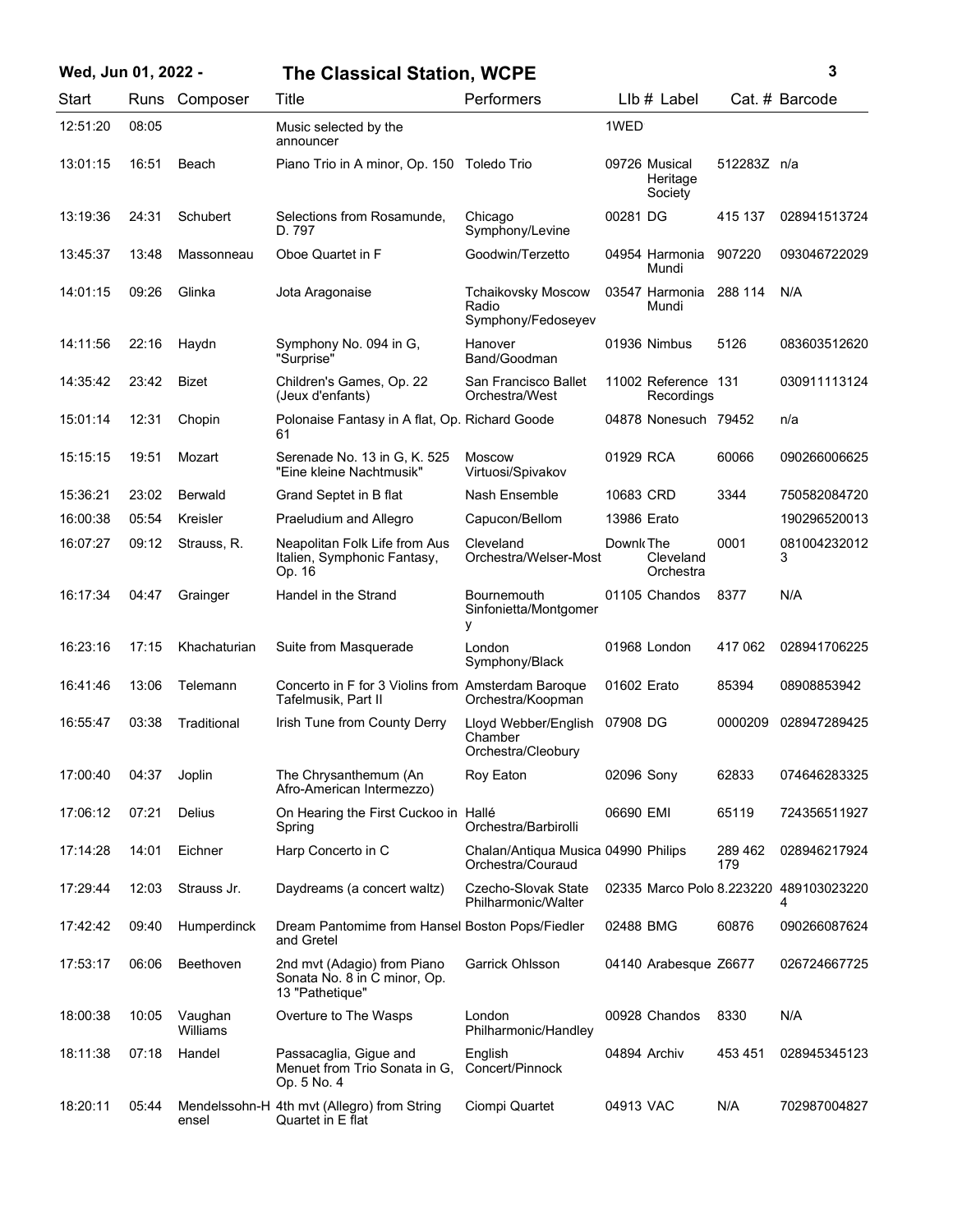| Wed, Jun 01, 2022 - |       |                     | <b>The Classical Station, WCPE</b>                                             |                                                          |              |                                      |                | 3                                           |
|---------------------|-------|---------------------|--------------------------------------------------------------------------------|----------------------------------------------------------|--------------|--------------------------------------|----------------|---------------------------------------------|
| Start               |       | Runs Composer       | Title                                                                          | Performers                                               |              | LIb # Label                          |                | Cat. # Barcode                              |
| 12:51:20            | 08:05 |                     | Music selected by the<br>announcer                                             |                                                          | 1WED         |                                      |                |                                             |
| 13:01:15            | 16:51 | Beach               | Piano Trio in A minor, Op. 150 Toledo Trio                                     |                                                          |              | 09726 Musical<br>Heritage<br>Society | 512283Z n/a    |                                             |
| 13:19:36            | 24:31 | Schubert            | Selections from Rosamunde,<br>D. 797                                           | Chicago<br>Symphony/Levine                               | 00281 DG     |                                      | 415 137        | 028941513724                                |
| 13:45:37            | 13:48 | Massonneau          | Oboe Quartet in F                                                              | Goodwin/Terzetto                                         |              | 04954 Harmonia<br>Mundi              | 907220         | 093046722029                                |
| 14:01:15            | 09:26 | Glinka              | Jota Aragonaise                                                                | <b>Tchaikovsky Moscow</b><br>Radio<br>Symphony/Fedoseyev |              | 03547 Harmonia<br>Mundi              | 288 114        | N/A                                         |
| 14:11:56            | 22:16 | Haydn               | Symphony No. 094 in G.<br>"Surprise"                                           | Hanover<br>Band/Goodman                                  |              | 01936 Nimbus                         | 5126           | 083603512620                                |
| 14:35:42            | 23:42 | Bizet               | Children's Games, Op. 22<br>(Jeux d'enfants)                                   | San Francisco Ballet<br>Orchestra/West                   |              | 11002 Reference 131<br>Recordings    |                | 030911113124                                |
| 15:01:14            | 12:31 | Chopin              | Polonaise Fantasy in A flat, Op. Richard Goode<br>61                           |                                                          |              | 04878 Nonesuch 79452                 |                | n/a                                         |
| 15:15:15            | 19:51 | Mozart              | Serenade No. 13 in G, K. 525<br>"Eine kleine Nachtmusik"                       | <b>Moscow</b><br>Virtuosi/Spivakov                       | 01929 RCA    |                                      | 60066          | 090266006625                                |
| 15:36:21            | 23:02 | <b>Berwald</b>      | Grand Septet in B flat                                                         | Nash Ensemble                                            | 10683 CRD    |                                      | 3344           | 750582084720                                |
| 16:00:38            | 05:54 | Kreisler            | Praeludium and Allegro                                                         | Capucon/Bellom                                           | 13986 Erato  |                                      |                | 190296520013                                |
| 16:07:27            | 09:12 | Strauss, R.         | Neapolitan Folk Life from Aus<br>Italien, Symphonic Fantasy,<br>Op. 16         | Cleveland<br>Orchestra/Welser-Most                       | Downk The    | Cleveland<br>Orchestra               | 0001           | 081004232012<br>3                           |
| 16:17:34            | 04:47 | Grainger            | Handel in the Strand                                                           | Bournemouth<br>Sinfonietta/Montgomer<br>у                |              | 01105 Chandos                        | 8377           | N/A                                         |
| 16:23:16            | 17:15 | Khachaturian        | Suite from Masquerade                                                          | London<br>Symphony/Black                                 |              | 01968 London                         | 417 062        | 028941706225                                |
| 16:41:46            | 13:06 | Telemann            | Concerto in F for 3 Violins from Amsterdam Baroque<br>Tafelmusik, Part II      | Orchestra/Koopman                                        | 01602 Erato  |                                      | 85394          | 08908853942                                 |
| 16:55:47            | 03:38 | Traditional         | Irish Tune from County Derry                                                   | Lloyd Webber/English<br>Chamber<br>Orchestra/Cleobury    | 07908 DG     |                                      | 0000209        | 028947289425                                |
| 17:00:40            | 04:37 | Joplin              | The Chrysanthemum (An<br>Afro-American Intermezzo)                             | Roy Eaton                                                | 02096 Sony   |                                      | 62833          | 074646283325                                |
| 17:06:12            | 07:21 | Delius              | On Hearing the First Cuckoo in Hallé<br>Spring                                 | Orchestra/Barbirolli                                     | 06690 EMI    |                                      | 65119          | 724356511927                                |
| 17:14:28            | 14:01 | Eichner             | Harp Concerto in C                                                             | Chalan/Antiqua Musica 04990 Philips<br>Orchestra/Couraud |              |                                      | 289 462<br>179 | 028946217924                                |
| 17:29:44            | 12:03 | Strauss Jr.         | Daydreams (a concert waltz)                                                    | Czecho-Slovak State<br>Philharmonic/Walter               |              |                                      |                | 02335 Marco Polo 8.223220 489103023220<br>4 |
| 17:42:42            | 09:40 | Humperdinck         | Dream Pantomime from Hansel Boston Pops/Fiedler<br>and Gretel                  |                                                          | 02488 BMG    |                                      | 60876          | 090266087624                                |
| 17:53:17            | 06:06 | Beethoven           | 2nd mvt (Adagio) from Piano<br>Sonata No. 8 in C minor, Op.<br>13 "Pathetique" | Garrick Ohlsson                                          |              | 04140 Arabesque Z6677                |                | 026724667725                                |
| 18:00:38            | 10:05 | Vaughan<br>Williams | Overture to The Wasps                                                          | London<br>Philharmonic/Handley                           |              | 00928 Chandos                        | 8330           | N/A                                         |
| 18:11:38            | 07:18 | Handel              | Passacaglia, Gigue and<br>Menuet from Trio Sonata in G,<br>Op. 5 No. 4         | English<br>Concert/Pinnock                               | 04894 Archiv |                                      | 453 451        | 028945345123                                |
| 18:20:11            | 05:44 | ensel               | Mendelssohn-H 4th mvt (Allegro) from String<br>Quartet in E flat               | Ciompi Quartet                                           | 04913 VAC    |                                      | N/A            | 702987004827                                |